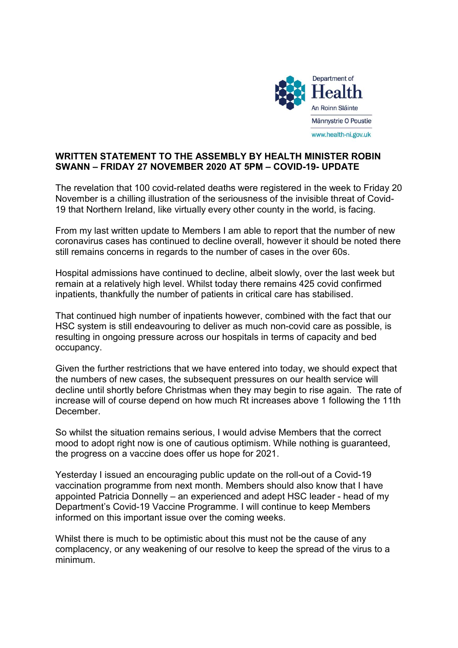

## WRITTEN STATEMENT TO THE ASSEMBLY BY HEALTH MINISTER ROBIN SWANN – FRIDAY 27 NOVEMBER 2020 AT 5PM – COVID-19- UPDATE

The revelation that 100 covid-related deaths were registered in the week to Friday 20 November is a chilling illustration of the seriousness of the invisible threat of Covid-19 that Northern Ireland, like virtually every other county in the world, is facing.

From my last written update to Members I am able to report that the number of new coronavirus cases has continued to decline overall, however it should be noted there still remains concerns in regards to the number of cases in the over 60s.

Hospital admissions have continued to decline, albeit slowly, over the last week but remain at a relatively high level. Whilst today there remains 425 covid confirmed inpatients, thankfully the number of patients in critical care has stabilised.

That continued high number of inpatients however, combined with the fact that our HSC system is still endeavouring to deliver as much non-covid care as possible, is resulting in ongoing pressure across our hospitals in terms of capacity and bed occupancy.

Given the further restrictions that we have entered into today, we should expect that the numbers of new cases, the subsequent pressures on our health service will decline until shortly before Christmas when they may begin to rise again. The rate of increase will of course depend on how much Rt increases above 1 following the 11th December.

So whilst the situation remains serious, I would advise Members that the correct mood to adopt right now is one of cautious optimism. While nothing is guaranteed, the progress on a vaccine does offer us hope for 2021.

Yesterday I issued an encouraging public update on the roll-out of a Covid-19 vaccination programme from next month. Members should also know that I have appointed Patricia Donnelly – an experienced and adept HSC leader - head of my Department's Covid-19 Vaccine Programme. I will continue to keep Members informed on this important issue over the coming weeks.

Whilst there is much to be optimistic about this must not be the cause of any complacency, or any weakening of our resolve to keep the spread of the virus to a minimum.